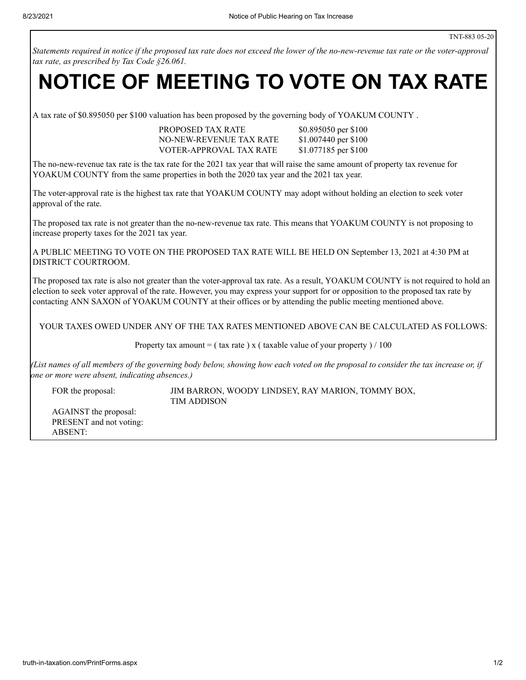Statements required in notice if the proposed tax rate does not exceed the lower of the no-new-revenue tax rate or the voter-approval *tax rate, as prescribed by Tax Code §26.061.*

## **NOTICE OF MEETING TO VOTE ON TAX RATE**

A tax rate of \$0.895050 per \$100 valuation has been proposed by the governing body of YOAKUM COUNTY .

PROPOSED TAX RATE \$0.895050 per \$100 NO-NEW-REVENUE TAX RATE \$1.007440 per \$100 VOTER-APPROVAL TAX RATE \$1.077185 per \$100

The no-new-revenue tax rate is the tax rate for the 2021 tax year that will raise the same amount of property tax revenue for YOAKUM COUNTY from the same properties in both the 2020 tax year and the 2021 tax year.

The voter-approval rate is the highest tax rate that YOAKUM COUNTY may adopt without holding an election to seek voter approval of the rate.

The proposed tax rate is not greater than the no-new-revenue tax rate. This means that YOAKUM COUNTY is not proposing to increase property taxes for the 2021 tax year.

A PUBLIC MEETING TO VOTE ON THE PROPOSED TAX RATE WILL BE HELD ON September 13, 2021 at 4:30 PM at DISTRICT COURTROOM.

The proposed tax rate is also not greater than the voter-approval tax rate. As a result, YOAKUM COUNTY is not required to hold an election to seek voter approval of the rate. However, you may express your support for or opposition to the proposed tax rate by contacting ANN SAXON of YOAKUM COUNTY at their offices or by attending the public meeting mentioned above.

YOUR TAXES OWED UNDER ANY OF THE TAX RATES MENTIONED ABOVE CAN BE CALCULATED AS FOLLOWS:

Property tax amount = ( tax rate ) x ( taxable value of your property ) / 100

(List names of all members of the governing body below, showing how each voted on the proposal to consider the tax increase or, if *one or more were absent, indicating absences.)*

FOR the proposal: **JIM BARRON, WOODY LINDSEY, RAY MARION, TOMMY BOX,** TIM ADDISON

AGAINST the proposal: PRESENT and not voting: ABSENT: